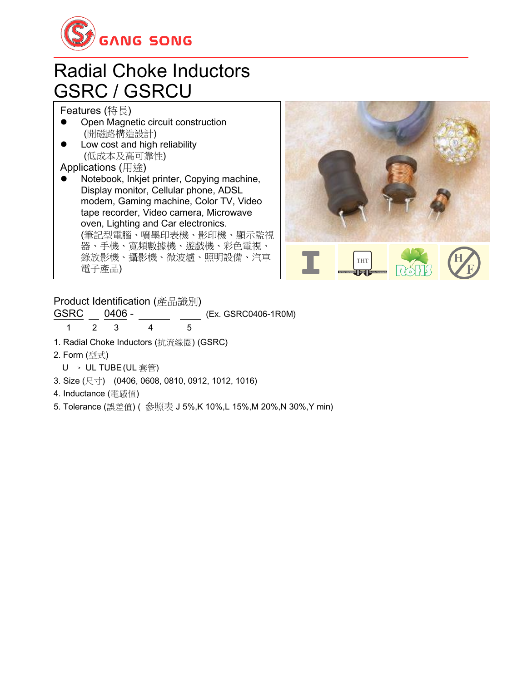

#### Radial Choke Inductors GSRC / GSRCU

Features (特長)

- Open Magnetic circuit construction (開磁路構造設計)
- Low cost and high reliability (低成本及高可靠性)

Applications (用途)

⚫ Notebook, Inkjet printer, Copying machine, Display monitor, Cellular phone, ADSL modem, Gaming machine, Color TV, Video tape recorder, Video camera, Microwave oven, Lighting and Car electronics. (筆記型電腦、噴墨印表機、影印機、顯示監視 器、手機、寬頻數據機、遊戲機、彩色電視、 錄放影機、攝影機、微波爐、照明設備、汽車 電子產品)



Product Identification (產品識別)

GSRC 0406 - (Ex. GSRC0406-1R0M)

1 2 3 4 5

1. Radial Choke Inductors (抗流線圈) (GSRC)

2. Form (型式)

- U → UL TUBE(UL 套管)
- 3. Size (尺寸) (0406, 0608, 0810, 0912, 1012, 1016)
- 4. Inductance (電感值)
- 5. Tolerance (誤差值) ( 參照表 J 5%,K 10%,L 15%,M 20%,N 30%,Y min)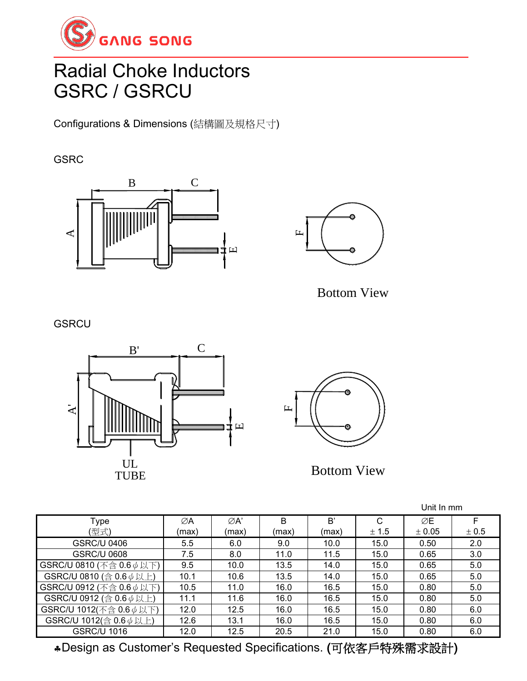

# Radial Choke Inductors GSRC / GSRCU

Configurations & Dimensions (結構圖及規格尺寸)

#### **GSRC**





Bottom View

**GSRCU** 





|                                |       |                  |       |       |       | Unit In mm |       |
|--------------------------------|-------|------------------|-------|-------|-------|------------|-------|
| Type                           | ∅A    | $\varnothing$ A' | B     | B'    | C     | ØE         | F     |
| (型式)                           | (max) | (max)            | (max) | (max) | ± 1.5 | ± 0.05     | ± 0.5 |
| <b>GSRC/U 0406</b>             | 5.5   | 6.0              | 9.0   | 10.0  | 15.0  | 0.50       | 2.0   |
| <b>GSRC/U 0608</b>             | 7.5   | 8.0              | 11.0  | 11.5  | 15.0  | 0.65       | 3.0   |
| GSRC/U 0810 (不含 0.6 $\phi$ 以下) | 9.5   | 10.0             | 13.5  | 14.0  | 15.0  | 0.65       | 5.0   |
| GSRC/U 0810 (含 0.6 $\phi$ 以上)  | 10.1  | 10.6             | 13.5  | 14.0  | 15.0  | 0.65       | 5.0   |
| GSRC/U 0912 (不含 0.6 $\phi$ 以下) | 10.5  | 11.0             | 16.0  | 16.5  | 15.0  | 0.80       | 5.0   |
| GSRC/U 0912 (含 0.6 $\phi$ 以上)  | 11.1  | 11.6             | 16.0  | 16.5  | 15.0  | 0.80       | 5.0   |
| GSRC/U 1012(不含 0.6 $\phi$ 以下)  | 12.0  | 12.5             | 16.0  | 16.5  | 15.0  | 0.80       | 6.0   |
| GSRC/U 1012(含 0.6 $\phi$ 以上)   | 12.6  | 13.1             | 16.0  | 16.5  | 15.0  | 0.80       | 6.0   |
| <b>GSRC/U 1016</b>             | 12.0  | 12.5             | 20.5  | 21.0  | 15.0  | 0.80       | 6.0   |

Design as Customer's Requested Specifications. (可依客戶特殊需求設計)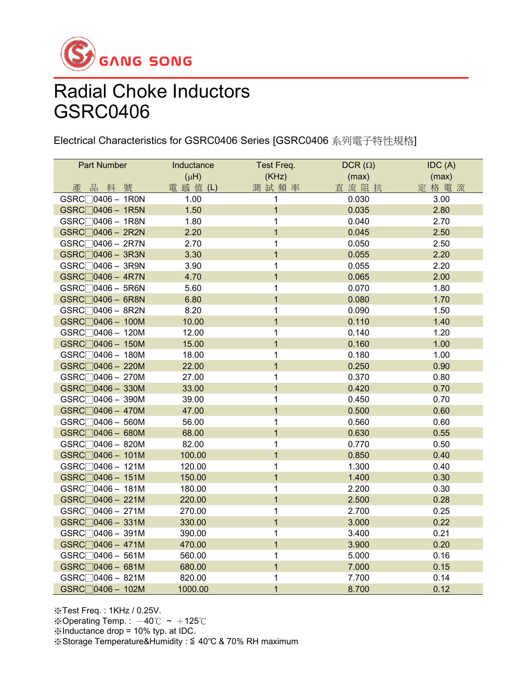

Electrical Characteristics for GSRC0406 Series [GSRC0406 系列電子特性規格]

| Part Number                 | Inductance | Test Freq.     | $DCR(\Omega)$ | IDC(A) |
|-----------------------------|------------|----------------|---------------|--------|
|                             | $(\mu H)$  | (KHz)          | (max)         | (max)  |
| 品料號<br>產                    | 電 感 值 (L)  | 測試頻率           | 直流阻抗          | 定格電流   |
| $GSRC$ $0406 - 1R0N$        | 1.00       | 1              | 0.030         | 3.00   |
| $GSRC$ 0406 - 1R5N          | 1.50       | $\overline{1}$ | 0.035         | 2.80   |
| GSRC□0406 - 1R8N            | 1.80       | 1              | 0.040         | 2.70   |
| $GSRC$ 0406 - 2R2N          | 2.20       | $\overline{1}$ | 0.045         | 2.50   |
| $GSRC$ 0406 - 2R7N          | 2.70       | $\mathbf 1$    | 0.050         | 2.50   |
| $GSRC$ 0406 - 3R3N          | 3.30       | $\overline{1}$ | 0.055         | 2.20   |
| GSRC□0406 - 3R9N            | 3.90       | 1              | 0.055         | 2.20   |
| $GSRC$ 0406 - 4R7N          | 4.70       | $\overline{1}$ | 0.065         | 2.00   |
| $GSRC$ 0406 - 5R6N          | 5.60       | 1              | 0.070         | 1.80   |
| GSRC□0406 - 6R8N            | 6.80       | $\mathbf{1}$   | 0.080         | 1.70   |
| $GSRC$ 0406 - 8R2N          | 8.20       | 1              | 0.090         | 1.50   |
| $GSRC$ 0406 - 100M          | 10.00      | $\overline{1}$ | 0.110         | 1.40   |
| GSRC <sub>0406</sub> - 120M | 12.00      | 1              | 0.140         | 1.20   |
| $GSRC$ 0406 - 150M          | 15.00      | $\overline{1}$ | 0.160         | 1.00   |
| GSRC <sub>0406</sub> - 180M | 18.00      | 1              | 0.180         | 1.00   |
| $GSRC$ 0406 - 220M          | 22.00      | $\overline{1}$ | 0.250         | 0.90   |
| GSRC□0406 - 270M            | 27.00      | 1              | 0.370         | 0.80   |
| $GSRC$ 0406 - 330M          | 33.00      | $\overline{1}$ | 0.420         | 0.70   |
| GSRC□0406 - 390M            | 39.00      | 1              | 0.450         | 0.70   |
| $GSRC$ 0406 - 470M          | 47.00      | $\overline{1}$ | 0.500         | 0.60   |
| $GSRC$ 0406 - 560M          | 56.00      | 1              | 0.560         | 0.60   |
| $GSRC$ 0406 - 680M          | 68.00      | $\overline{1}$ | 0.630         | 0.55   |
| $GSRC$ 0406 - 820M          | 82.00      | 1              | 0.770         | 0.50   |
| $GSRC$ 0406 - 101M          | 100.00     | $\overline{1}$ | 0.850         | 0.40   |
| GSRC <sub>0406</sub> - 121M | 120.00     | 1              | 1.300         | 0.40   |
| $GSRC$ 0406 - 151M          | 150.00     | $\overline{1}$ | 1.400         | 0.30   |
| $GSRC$ 0406 - 181M          | 180.00     | 1              | 2.200         | 0.30   |
| $GSRC$ 0406 - 221M          | 220.00     | $\overline{1}$ | 2.500         | 0.28   |
| $GSRC$ 0406 - 271M          | 270.00     | 1              | 2.700         | 0.25   |
| $GSRC$ 0406 - 331M          | 330.00     | $\overline{1}$ | 3.000         | 0.22   |
| $GSRC$ 0406 - 391M          | 390.00     | 1              | 3.400         | 0.21   |
| $GSRC$ 0406 - 471M          | 470.00     | $\overline{1}$ | 3.900         | 0.20   |
| $GSRC$ 0406 - 561M          | 560.00     | 1              | 5.000         | 0.16   |
| GSRC□0406 - 681M            | 680.00     | $\overline{1}$ | 7.000         | 0.15   |
| GSRC <sub>0406</sub> - 821M | 820.00     | 1              | 7.700         | 0.14   |
| GSRC <sub>0406</sub> - 102M | 1000.00    | $\overline{1}$ | 8.700         | 0.12   |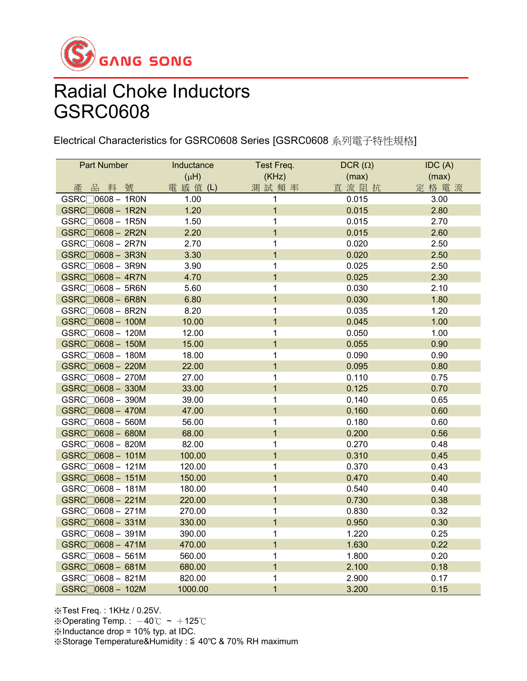

Electrical Characteristics for GSRC0608 Series [GSRC0608 系列電子特性規格]

| Part Number                 | Inductance | Test Freq.              | DCR $(\Omega)$ | IDC(A) |
|-----------------------------|------------|-------------------------|----------------|--------|
|                             | $(\mu H)$  | (KHz)                   | (max)          | (max)  |
| 品料號<br>產                    | 電 感 值 (L)  | 測試頻率                    | 直流阻抗           | 定格電流   |
| $GSRC$ $0608 - 1R0N$        | 1.00       | 1                       | 0.015          | 3.00   |
| GSRC□0608 - 1R2N            | 1.20       | $\overline{1}$          | 0.015          | 2.80   |
| $GSRC$ 0608 - 1R5N          | 1.50       | $\mathbf 1$             | 0.015          | 2.70   |
| GSRC□0608 - 2R2N            | 2.20       | $\overline{1}$          | 0.015          | 2.60   |
| $GSRC$ 0608 - 2R7N          | 2.70       | $\mathbf 1$             | 0.020          | 2.50   |
| GSRC□0608 - 3R3N            | 3.30       | $\overline{1}$          | 0.020          | 2.50   |
| GSRC□0608 - 3R9N            | 3.90       | $\mathbf 1$             | 0.025          | 2.50   |
| $GSRC$ 0608 - 4R7N          | 4.70       | $\overline{1}$          | 0.025          | 2.30   |
| $GSRC$ 0608 - 5R6N          | 5.60       | 1                       | 0.030          | 2.10   |
| $GSRC$ 0608 - 6R8N          | 6.80       | $\mathbf{1}$            | 0.030          | 1.80   |
| $GSRC$ 0608 - 8R2N          | 8.20       | 1                       | 0.035          | 1.20   |
| GSRC□0608 - 100M            | 10.00      | $\mathbf{1}$            | 0.045          | 1.00   |
| GSRC <sub>0608</sub> - 120M | 12.00      | 1                       | 0.050          | 1.00   |
| GSRC□0608 - 150M            | 15.00      | $\overline{\mathbf{1}}$ | 0.055          | 0.90   |
| $GSRC$ 0608 - 180M          | 18.00      | 1                       | 0.090          | 0.90   |
| GSRC□0608 - 220M            | 22.00      | $\overline{1}$          | 0.095          | 0.80   |
| $GSRC$ 0608 - 270M          | 27.00      | 1                       | 0.110          | 0.75   |
| GSRC□0608 - 330M            | 33.00      | $\mathbf{1}$            | 0.125          | 0.70   |
| GSRC□0608 - 390M            | 39.00      | 1                       | 0.140          | 0.65   |
| $GSRC$ 0608 - 470M          | 47.00      | $\overline{1}$          | 0.160          | 0.60   |
| GSRC <sub>0608</sub> - 560M | 56.00      | 1                       | 0.180          | 0.60   |
| $GSRC$ $0608 - 680M$        | 68.00      | $\overline{1}$          | 0.200          | 0.56   |
| $GSRC$ 0608 - 820M          | 82.00      | 1                       | 0.270          | 0.48   |
| GSRC <sub>0608</sub> - 101M | 100.00     | $\overline{\mathbf{1}}$ | 0.310          | 0.45   |
| $GSRC$ 0608 - 121M          | 120.00     | 1                       | 0.370          | 0.43   |
| GSRC <sub>0608</sub> - 151M | 150.00     | $\overline{1}$          | 0.470          | 0.40   |
| $GSRC$ $0608 - 181M$        | 180.00     | 1                       | 0.540          | 0.40   |
| $GSRC$ $0608 - 221M$        | 220.00     | $\mathbf{1}$            | 0.730          | 0.38   |
| $GSRC$ 0608 - 271M          | 270.00     | 1                       | 0.830          | 0.32   |
| $GSRC$ $0608 - 331M$        | 330.00     | $\overline{1}$          | 0.950          | 0.30   |
| $GSRC$ 0608 - 391M          | 390.00     | 1                       | 1.220          | 0.25   |
| $GSRC$ $0608 - 471M$        | 470.00     | $\overline{1}$          | 1.630          | 0.22   |
| $GSRC$ 0608 - 561M          | 560.00     | 1                       | 1.800          | 0.20   |
| $GSRC$ $0608 - 681M$        | 680.00     | $\overline{\mathbf{1}}$ | 2.100          | 0.18   |
| $GSRC$ $0608 - 821M$        | 820.00     | 1                       | 2.900          | 0.17   |
| GSRC <sub>0608</sub> - 102M | 1000.00    | $\overline{1}$          | 3.200          | 0.15   |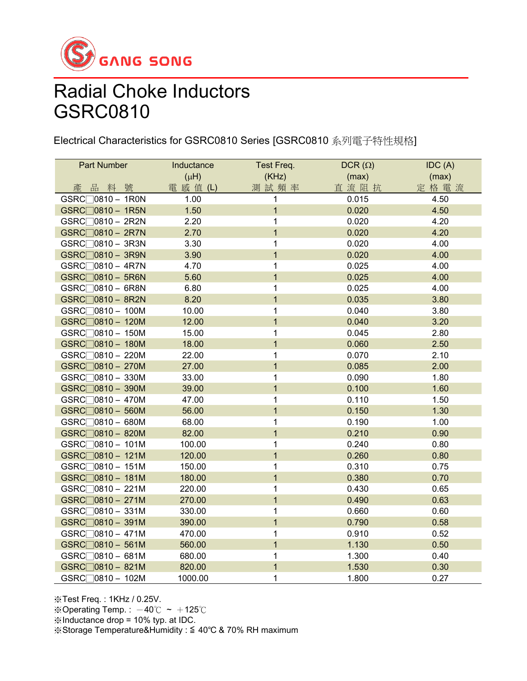

Electrical Characteristics for GSRC0810 Series [GSRC0810 系列電子特性規格]

| <b>Part Number</b>          | Inductance | Test Freq.     | DCR $(\Omega)$ | IDC(A) |
|-----------------------------|------------|----------------|----------------|--------|
|                             | $(\mu H)$  | (KHz)          | (max)          | (max)  |
| 品料號<br>產                    | 電 感 值 (L)  | 測試頻率           | 直流阻抗           | 定格電流   |
| $GSRC$ 0810 - 1R0N          | 1.00       | 1              | 0.015          | 4.50   |
| GSRC <sub>0810</sub> - 1R5N | 1.50       | $\mathbf{1}$   | 0.020          | 4.50   |
| GSRC <sub>0810</sub> - 2R2N | 2.20       | 1              | 0.020          | 4.20   |
| GSRC□0810 - 2R7N            | 2.70       | $\mathbf{1}$   | 0.020          | 4.20   |
| GSRC <sub>0810</sub> - 3R3N | 3.30       | 1              | 0.020          | 4.00   |
| GSRC□0810 - 3R9N            | 3.90       | $\overline{1}$ | 0.020          | 4.00   |
| GSRC <sub>0810</sub> - 4R7N | 4.70       | 1              | 0.025          | 4.00   |
| GSRC□0810 - 5R6N            | 5.60       | $\overline{1}$ | 0.025          | 4.00   |
| GSRC <sub>0810</sub> - 6R8N | 6.80       | 1              | 0.025          | 4.00   |
| GSRC <sub>0810</sub> - 8R2N | 8.20       | $\overline{1}$ | 0.035          | 3.80   |
| GSRC <sub>0810</sub> - 100M | 10.00      | $\mathbf{1}$   | 0.040          | 3.80   |
| GSRC <sub>0810</sub> - 120M | 12.00      | $\overline{1}$ | 0.040          | 3.20   |
| $GSRC$ 0810 - 150M          | 15.00      | 1              | 0.045          | 2.80   |
| GSRC <sub>0810</sub> - 180M | 18.00      | $\mathbf 1$    | 0.060          | 2.50   |
| GSRC <sub>0810</sub> - 220M | 22.00      | 1              | 0.070          | 2.10   |
| GSRC  0810 - 270M           | 27.00      | $\overline{1}$ | 0.085          | 2.00   |
| GSRC <sub>0810</sub> - 330M | 33.00      | 1              | 0.090          | 1.80   |
| GSRC□0810 - 390M            | 39.00      | $\overline{1}$ | 0.100          | 1.60   |
| GSRC <sub>0810</sub> – 470M | 47.00      | 1              | 0.110          | 1.50   |
| GSRC <sub>0810</sub> - 560M | 56.00      | $\overline{1}$ | 0.150          | 1.30   |
| GSRC <sub>0810</sub> - 680M | 68.00      | 1              | 0.190          | 1.00   |
| GSRC <sub>0810</sub> - 820M | 82.00      | $\overline{1}$ | 0.210          | 0.90   |
| GSRC <sub>0810</sub> - 101M | 100.00     | 1              | 0.240          | 0.80   |
| GSRC <sub>0810</sub> - 121M | 120.00     | $\mathbf{1}$   | 0.260          | 0.80   |
| GSRC <sub>0810</sub> - 151M | 150.00     | $\mathbf{1}$   | 0.310          | 0.75   |
| GSRC <sub>0810</sub> - 181M | 180.00     | $\mathbf 1$    | 0.380          | 0.70   |
| GSRC <sub>0810</sub> - 221M | 220.00     | $\mathbf{1}$   | 0.430          | 0.65   |
| GSRC <sub>0810</sub> - 271M | 270.00     | $\mathbf 1$    | 0.490          | 0.63   |
| GSRC <sub>0810</sub> - 331M | 330.00     | 1              | 0.660          | 0.60   |
| GSRC <sub>0810</sub> - 391M | 390.00     | $\overline{1}$ | 0.790          | 0.58   |
| GSRC <sub>0810</sub> - 471M | 470.00     | 1              | 0.910          | 0.52   |
| GSRC <sub>0810</sub> - 561M | 560.00     | $\overline{1}$ | 1.130          | 0.50   |
| GSRC <sub>0810</sub> - 681M | 680.00     | $\mathbf{1}$   | 1.300          | 0.40   |
| GSRC <sub>0810</sub> - 821M | 820.00     | $\overline{1}$ | 1.530          | 0.30   |
| GSRC <sub>0810</sub> - 102M | 1000.00    | $\mathbf{1}$   | 1.800          | 0.27   |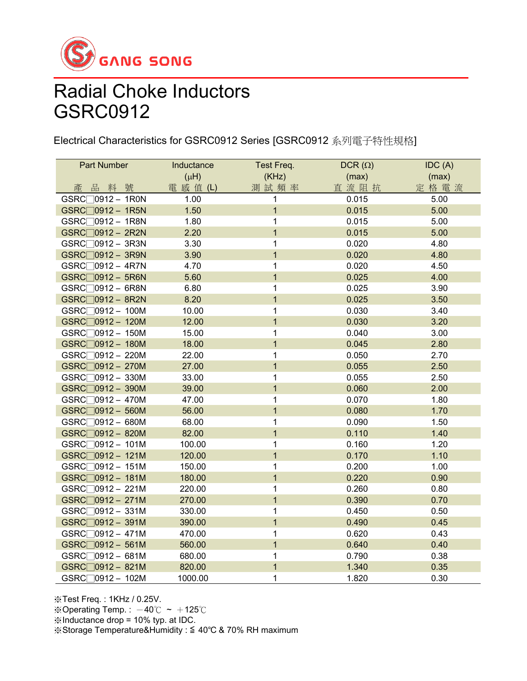

Electrical Characteristics for GSRC0912 Series [GSRC0912 系列電子特性規格]

| Part Number                  | Inductance | Test Freq.              | DCR $(\Omega)$ | IDC(A) |
|------------------------------|------------|-------------------------|----------------|--------|
|                              | $(\mu H)$  | (KHz)                   | (max)          | (max)  |
| 品料號<br>產                     | 電 感 值 (L)  | 測試頻率                    | 直流阻抗           | 定格電流   |
| $GSRC$ 0912 - 1R0N           | 1.00       | 1                       | 0.015          | 5.00   |
| GSRC <sub>0912</sub> - 1R5N  | 1.50       | $\mathbf{1}$            | 0.015          | 5.00   |
| GSRC <sub>10912</sub> - 1R8N | 1.80       | 1                       | 0.015          | 5.00   |
| GSRC□0912 - 2R2N             | 2.20       | $\overline{1}$          | 0.015          | 5.00   |
| GSRC□0912 - 3R3N             | 3.30       | $\overline{1}$          | 0.020          | 4.80   |
| GSRC□0912 - 3R9N             | 3.90       | $\overline{\mathbf{1}}$ | 0.020          | 4.80   |
| GSRC <sub>10912</sub> - 4R7N | 4.70       | 1                       | 0.020          | 4.50   |
| $GSRC$ 0912 - 5R6N           | 5.60       | $\overline{\mathbf{1}}$ | 0.025          | 4.00   |
| GSRC <sub>0912</sub> - 6R8N  | 6.80       | $\mathbf 1$             | 0.025          | 3.90   |
| $GSRC$ 0912 - 8R2N           | 8.20       | $\overline{1}$          | 0.025          | 3.50   |
| $GSRC$ 0912 - 100M           | 10.00      | 1                       | 0.030          | 3.40   |
| $GSRC$ 0912 - 120M           | 12.00      | $\overline{1}$          | 0.030          | 3.20   |
| GSRC <sub>0912</sub> - 150M  | 15.00      | 1                       | 0.040          | 3.00   |
| GSRC <sub>0912</sub> - 180M  | 18.00      | $\overline{1}$          | 0.045          | 2.80   |
| GSRC <sub>0912</sub> - 220M  | 22.00      | $\mathbf 1$             | 0.050          | 2.70   |
| GSRC <sub>0912</sub> - 270M  | 27.00      | $\overline{\mathbf{1}}$ | 0.055          | 2.50   |
| $GSRC$ 0912 - 330M           | 33.00      | 1                       | 0.055          | 2.50   |
| GSRC <sub>0912</sub> - 390M  | 39.00      | $\overline{\mathbf{1}}$ | 0.060          | 2.00   |
| GSRC <sub>0912</sub> - 470M  | 47.00      | 1                       | 0.070          | 1.80   |
| $GSRC$ 0912 - 560M           | 56.00      | $\overline{\mathbf{1}}$ | 0.080          | 1.70   |
| GSRC <sub>0912</sub> - 680M  | 68.00      | 1                       | 0.090          | 1.50   |
| $GSRC$ 0912 - 820M           | 82.00      | $\overline{1}$          | 0.110          | 1.40   |
| GSRC <sub>0912</sub> - 101M  | 100.00     | 1                       | 0.160          | 1.20   |
| GSRC <sub>0912</sub> - 121M  | 120.00     | $\overline{1}$          | 0.170          | 1.10   |
| $GSRC$ 0912 - 151M           | 150.00     | 1                       | 0.200          | 1.00   |
| $GSRC$ $0912 - 181M$         | 180.00     | $\overline{1}$          | 0.220          | 0.90   |
| $GSRC$ 0912 - 221M           | 220.00     | 1                       | 0.260          | 0.80   |
| GSRC <sub>0912</sub> - 271M  | 270.00     | $\overline{\mathbf{1}}$ | 0.390          | 0.70   |
| $GSRC$ 0912 - 331M           | 330.00     | 1                       | 0.450          | 0.50   |
| GSRC <sub>0912</sub> - 391M  | 390.00     | $\overline{\mathbf{1}}$ | 0.490          | 0.45   |
| GSRC <sub>0912</sub> - 471M  | 470.00     | $\mathbf 1$             | 0.620          | 0.43   |
| GSRC <sub>0912</sub> - 561M  | 560.00     | $\overline{\mathbf{1}}$ | 0.640          | 0.40   |
| GSRC <sub>0912</sub> - 681M  | 680.00     | 1                       | 0.790          | 0.38   |
| GSRC <sub>0912</sub> - 821M  | 820.00     | $\overline{1}$          | 1.340          | 0.35   |
| GSRC <sub>0912</sub> - 102M  | 1000.00    | $\overline{1}$          | 1.820          | 0.30   |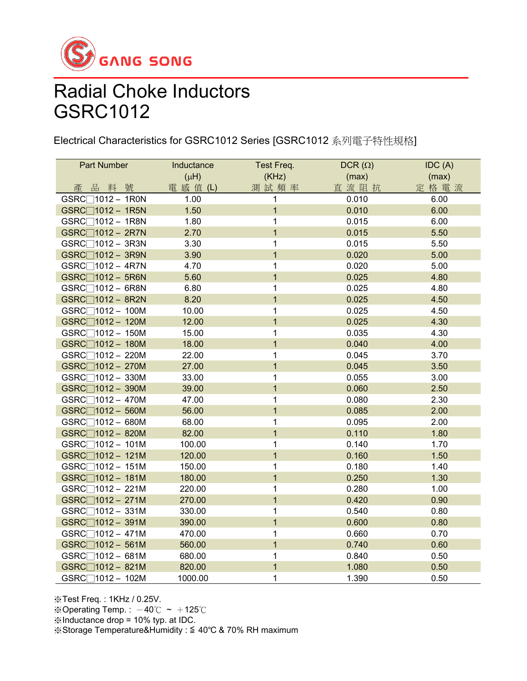

Electrical Characteristics for GSRC1012 Series [GSRC1012 系列電子特性規格]

| <b>Part Number</b>          | Inductance | Test Freq.     | DCR $(\Omega)$ | IDC(A) |
|-----------------------------|------------|----------------|----------------|--------|
|                             | $(\mu H)$  | (KHz)          | (max)          | (max)  |
| 品料號<br>產                    | 電 感 值 (L)  | 測試頻率           | 直流阻抗           | 定格電流   |
| $GSRC$ $1012 - 1R0N$        | 1.00       | 1              | 0.010          | 6.00   |
| $GSRC$ $1012 - 1R5N$        | 1.50       | $\overline{1}$ | 0.010          | 6.00   |
| GSRC∏1012 - 1R8N            | 1.80       | 1              | 0.015          | 6.00   |
| $GSRC$ 1012 - 2R7N          | 2.70       | $\overline{1}$ | 0.015          | 5.50   |
| GSRC□1012 - 3R3N            | 3.30       | 1              | 0.015          | 5.50   |
| GSRC□1012 - 3R9N            | 3.90       | $\overline{1}$ | 0.020          | 5.00   |
| GSRC∏1012 - 4R7N            | 4.70       | 1              | 0.020          | 5.00   |
| $GSRC$ $1012 - 5R6N$        | 5.60       | $\overline{1}$ | 0.025          | 4.80   |
| $GSRC$ 1012 – 6R8N          | 6.80       | 1              | 0.025          | 4.80   |
| $GSRC$ $1012 - 8R2N$        | 8.20       | $\overline{1}$ | 0.025          | 4.50   |
| GSRC□1012 - 100M            | 10.00      | $\mathbf 1$    | 0.025          | 4.50   |
| GSRC□1012 - 120M            | 12.00      | $\overline{1}$ | 0.025          | 4.30   |
| GSRC <sup>1012</sup> - 150M | 15.00      | $\mathbf 1$    | 0.035          | 4.30   |
| $GSRC$ $1012 - 180M$        | 18.00      | $\mathbf{1}$   | 0.040          | 4.00   |
| GSRC□1012 - 220M            | 22.00      | 1              | 0.045          | 3.70   |
| GSRC□1012 - 270M            | 27.00      | $\mathbf{1}$   | 0.045          | 3.50   |
| GSRC <sup>1012</sup> - 330M | 33.00      | 1              | 0.055          | 3.00   |
| GSRC□1012 - 390M            | 39.00      | $\mathbf 1$    | 0.060          | 2.50   |
| $GSRC$ 1012 - 470M          | 47.00      | 1              | 0.080          | 2.30   |
| $GSRC$ $1012 - 560M$        | 56.00      | $\overline{1}$ | 0.085          | 2.00   |
| GSRC <sup>1012</sup> - 680M | 68.00      | 1              | 0.095          | 2.00   |
| $GSRC$ $1012 - 820M$        | 82.00      | $\overline{1}$ | 0.110          | 1.80   |
| $GSRC$ $1012 - 101M$        | 100.00     | 1              | 0.140          | 1.70   |
| $GSRC$ $1012 - 121M$        | 120.00     | $\overline{1}$ | 0.160          | 1.50   |
| GSRC <sup>1012</sup> - 151M | 150.00     | 1              | 0.180          | 1.40   |
| GSRC□1012 - 181M            | 180.00     | $\overline{1}$ | 0.250          | 1.30   |
| GSRC <sup>1012</sup> - 221M | 220.00     | 1              | 0.280          | 1.00   |
| GSRC□1012 - 271M            | 270.00     | $\mathbf{1}$   | 0.420          | 0.90   |
| $GSRC$ 1012 - 331M          | 330.00     | 1              | 0.540          | 0.80   |
| GSRC□1012 - 391M            | 390.00     | $\overline{1}$ | 0.600          | 0.80   |
| $GSRC$ 1012 - 471M          | 470.00     | $\mathbf 1$    | 0.660          | 0.70   |
| GSRC□1012 - 561M            | 560.00     | $\overline{1}$ | 0.740          | 0.60   |
| GSRC□1012 - 681M            | 680.00     | 1              | 0.840          | 0.50   |
| GSRC□1012 - 821M            | 820.00     | $\overline{1}$ | 1.080          | 0.50   |
| GSRC <sup>1012</sup> - 102M | 1000.00    | $\overline{1}$ | 1.390          | 0.50   |